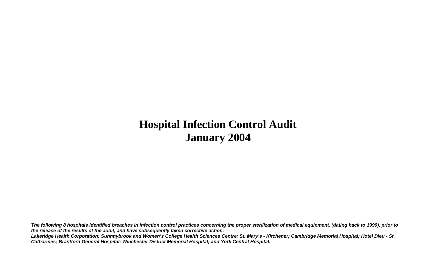# **Hospital Infection Control Audit January 2004**

*The following 8 hospitals identified breaches in infection control practices concerning the proper sterilization of medical equipment, (dating back to 1999), prior to the release of the results of the audit, and have subsequently taken corrective action. Lakeridge Health Corporation; Sunnnybrook and Women's College Health Sciences Centre; St. Mary's - Kitchener; Cambridge Memorial Hospital; Hotel Dieu - St. Catharines; Brantford General Hospital; Winchester District Memorial Hospital; and York Central Hospital.*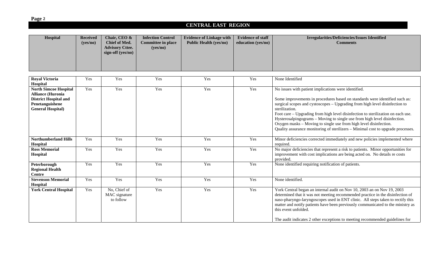**Page 2**

### **CENTRAL EAST REGION**

| Hospital                                                                                                                                 | <b>Received</b><br>(yes/no) | Chair, CEO &<br>Chief of Med.<br><b>Advisory Cttee.</b><br>sign-off (yes/no) | <b>Infection Control</b><br><b>Committee in place</b><br>(yes/no) | <b>Evidence of Linkage with</b><br><b>Public Health (yes/no)</b> | <b>Evidence of staff</b><br>education (yes/no) | <b>Irregularities/Deficiencies/Issues Identified</b><br><b>Comments</b>                                                                                                                                                                                                                                                                                                                                                                                                                                                                                        |
|------------------------------------------------------------------------------------------------------------------------------------------|-----------------------------|------------------------------------------------------------------------------|-------------------------------------------------------------------|------------------------------------------------------------------|------------------------------------------------|----------------------------------------------------------------------------------------------------------------------------------------------------------------------------------------------------------------------------------------------------------------------------------------------------------------------------------------------------------------------------------------------------------------------------------------------------------------------------------------------------------------------------------------------------------------|
| <b>Royal Victoria</b>                                                                                                                    | Yes                         | Yes                                                                          | Yes                                                               | Yes                                                              | Yes                                            | None Identified                                                                                                                                                                                                                                                                                                                                                                                                                                                                                                                                                |
| Hospital                                                                                                                                 |                             |                                                                              |                                                                   |                                                                  |                                                |                                                                                                                                                                                                                                                                                                                                                                                                                                                                                                                                                                |
| <b>North Simcoe Hospital</b><br><b>Alliance (Huronia</b><br><b>District Hospital and</b><br>Penetanguishene<br><b>General Hospital</b> ) | Yes                         | Yes                                                                          | Yes                                                               | Yes                                                              | Yes                                            | No issues with patient implications were identified.<br>Some improvements in procedures based on standards were identified such as:<br>surgical scopes and cystoscopes – Upgrading from high level disinfection to<br>sterilization.<br>Foot care - Upgrading from high level disinfection to sterilization on each use.<br>Hysterosalpingograms - Moving to single use from high level disinfection.<br>Oxygen masks – Moving to single use from high level disinfection.<br>Quality assurance monitoring of sterilizers - Minimal cost to upgrade processes. |
| <b>Northumberland Hills</b><br>Hospital                                                                                                  | Yes                         | Yes                                                                          | Yes                                                               | Yes                                                              | Yes                                            | Minor deficiencies corrected immediately and new policies implemented where<br>required.                                                                                                                                                                                                                                                                                                                                                                                                                                                                       |
| <b>Ross Memorial</b><br>Hospital                                                                                                         | Yes                         | Yes                                                                          | Yes                                                               | Yes                                                              | Yes                                            | No major deficiencies that represent a risk to patients. Minor opportunities for<br>improvement with cost implications are being acted on. No details re costs<br>provided.                                                                                                                                                                                                                                                                                                                                                                                    |
| Peterborough<br><b>Regional Health</b><br><b>Centre</b>                                                                                  | Yes                         | Yes                                                                          | Yes                                                               | Yes                                                              | Yes                                            | None identified requiring notification of patients.                                                                                                                                                                                                                                                                                                                                                                                                                                                                                                            |
| <b>Stevenson Memorial</b><br>Hospital                                                                                                    | Yes                         | Yes                                                                          | Yes                                                               | Yes                                                              | Yes                                            | None identified.                                                                                                                                                                                                                                                                                                                                                                                                                                                                                                                                               |
| <b>York Central Hospital</b>                                                                                                             | Yes                         | No, Chief of<br>MAC signature<br>to follow                                   | Yes                                                               | Yes                                                              | Yes                                            | York Central began an internal audit on Nov 10, 2003 an on Nov 19, 2003<br>determined that it was not meeting recommended practice in the disinfection of<br>naso-pharyngo-laryngoscopes used in ENT clinic. All steps taken to rectify this<br>matter and notify patients have been previously communicated to the ministry as<br>this event unfolded.<br>The audit indicates 2 other exceptions to meeting recommended guidelines for                                                                                                                        |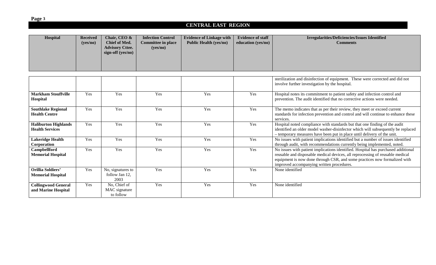**Page 3**

#### **CENTRAL EAST REGION**

| Hospital                                              | <b>Received</b><br>(yes/no) | Chair, CEO &<br><b>Chief of Med.</b><br><b>Advisory Cttee.</b><br>sign-off (yes/no) | <b>Infection Control</b><br><b>Committee in place</b><br>(yes/no) | <b>Evidence of Linkage with</b><br><b>Public Health (yes/no)</b> | <b>Evidence of staff</b><br>education (yes/no) | Irregularities/Deficiencies/Issues Identified<br><b>Comments</b>                                                                                                                                                                                                                             |
|-------------------------------------------------------|-----------------------------|-------------------------------------------------------------------------------------|-------------------------------------------------------------------|------------------------------------------------------------------|------------------------------------------------|----------------------------------------------------------------------------------------------------------------------------------------------------------------------------------------------------------------------------------------------------------------------------------------------|
|                                                       |                             |                                                                                     |                                                                   |                                                                  |                                                | sterilization and disinfection of equipment. These were corrected and did not<br>involve further investigation by the hospital.                                                                                                                                                              |
| <b>Markham Stouffville</b><br>Hospital                | Yes                         | Yes                                                                                 | Yes                                                               | Yes                                                              | Yes                                            | Hospital notes its commitment to patient safety and infection control and<br>prevention. The audit identified that no corrective actions were needed.                                                                                                                                        |
| <b>Southlake Regional</b><br><b>Health Centre</b>     | Yes                         | Yes                                                                                 | Yes                                                               | Yes                                                              | Yes                                            | The memo indicates that as per their review, they meet or exceed current<br>standards for infection prevention and control and will continue to enhance these<br>services.                                                                                                                   |
| <b>Haliburton Highlands</b><br><b>Health Services</b> | Yes                         | Yes                                                                                 | Yes                                                               | Yes                                                              | Yes                                            | Hospital noted compliance with standards but that one finding of the audit<br>identified an older model washer-disinfector which will subsequently be replaced<br>- temporary measures have been put in place until delivery of the unit.                                                    |
| Lakeridge Health<br>Corporation                       | Yes                         | Yes                                                                                 | Yes                                                               | Yes                                                              | Yes                                            | No issues with patient implications identified but a number of issues identified<br>through audit, with recommendations currently being implemented, noted.                                                                                                                                  |
| Campbellford<br><b>Memorial Hospital</b>              | Yes                         | Yes                                                                                 | Yes                                                               | Yes                                                              | Yes                                            | No issues with patient implications identified. Hospital has purchased additional<br>reusable and disposable medical devices, all reprocessing of reusable medical<br>equipment is now done through CSR, and some practices now formalized with<br>improved accompanying written procedures. |
| <b>Orillia Soldiers'</b><br><b>Memorial Hospital</b>  | Yes                         | No, signatures to<br>follow Jan 12,<br>2003                                         | Yes                                                               | Yes                                                              | Yes                                            | None identified                                                                                                                                                                                                                                                                              |
| <b>Collingwood General</b><br>and Marine Hospital     | Yes                         | No, Chief of<br>MAC signature<br>to follow                                          | Yes                                                               | Yes                                                              | Yes                                            | None identified                                                                                                                                                                                                                                                                              |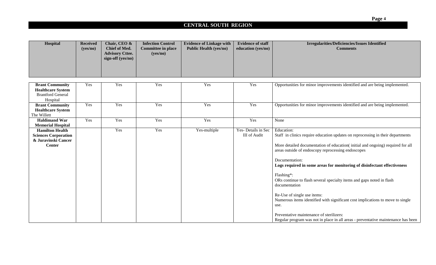| <b>Hospital</b> | <b>Received</b><br>(yes/no) | Chair, CEO &<br>Chief of Med.<br><b>Advisory Cttee.</b><br>sign-off (yes/no) | <b>Infection Control</b><br><b>Committee in place</b><br>(yes/no) | <b>Evidence of Linkage with</b><br><b>Public Health (yes/no)</b> | <b>Evidence of staff</b><br>education (yes/no) | <b>Irregularities/Deficiencies/Issues Identified</b><br><b>Comments</b> |
|-----------------|-----------------------------|------------------------------------------------------------------------------|-------------------------------------------------------------------|------------------------------------------------------------------|------------------------------------------------|-------------------------------------------------------------------------|
|                 |                             |                                                                              |                                                                   |                                                                  |                                                |                                                                         |

| <b>Brant Community</b><br><b>Healthcare System</b><br><b>Brantford General</b> | Yes | Yes | Yes | Yes          | Yes                 | Opportunities for minor improvements identified and are being implemented.                                                           |
|--------------------------------------------------------------------------------|-----|-----|-----|--------------|---------------------|--------------------------------------------------------------------------------------------------------------------------------------|
| Hospital                                                                       |     |     |     |              |                     |                                                                                                                                      |
| <b>Brant Community</b>                                                         | Yes | Yes | Yes | Yes          | Yes                 | Opportunities for minor improvements identified and are being implemented.                                                           |
| <b>Healthcare System</b>                                                       |     |     |     |              |                     |                                                                                                                                      |
| The Willett                                                                    |     |     |     |              |                     |                                                                                                                                      |
| <b>Haldimand War</b>                                                           | Yes | Yes | Yes | Yes          | Yes                 | None                                                                                                                                 |
| <b>Memorial Hospital</b>                                                       |     |     |     |              |                     |                                                                                                                                      |
| <b>Hamilton Health</b>                                                         |     | Yes | Yes | Yes-multiple | Yes-Details in Sec  | Education:                                                                                                                           |
| <b>Sciences Corporation</b>                                                    |     |     |     |              | <b>III</b> of Audit | Staff in clinics require education updates on reprocessing in their departments                                                      |
| & Juravinski Cancer<br><b>Center</b>                                           |     |     |     |              |                     | More detailed documentation of education(initial and ongoing) required for all<br>areas outside of endoscopy reprocessing endoscopes |
|                                                                                |     |     |     |              |                     | Documentation:<br>Logs required in some areas for monitoring of disinfectant effectiveness                                           |
|                                                                                |     |     |     |              |                     | Flashing*:<br>ORs continue to flash several specialty items and gaps noted in flash<br>documentation                                 |
|                                                                                |     |     |     |              |                     | Re-Use of single use items:<br>Numerous items identified with significant cost implications to move to single<br>use.                |
|                                                                                |     |     |     |              |                     | Preventative maintenance of sterilizers:<br>Regular program was not in place in all areas - preventative maintenance has been        |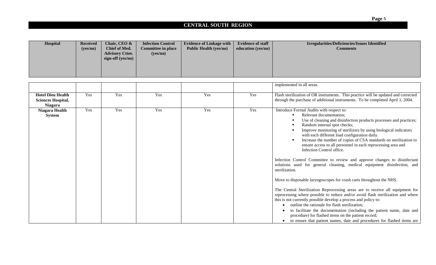| Hospital | Received<br>(yes/no) | Chair, CEO &<br>Chief of Med.<br><b>Advisory Cttee.</b><br>sign-off (yes/no) | <b>Infection Control</b><br><b>Committee in place</b><br>(yes/no) | <b>Evidence of Linkage with</b><br><b>Public Health (yes/no)</b> | <b>Evidence of staff</b><br>education (yes/no) | <b>Irregularities/Deficiencies/Issues Identified</b><br><b>Comments</b> |
|----------|----------------------|------------------------------------------------------------------------------|-------------------------------------------------------------------|------------------------------------------------------------------|------------------------------------------------|-------------------------------------------------------------------------|
|          |                      |                                                                              |                                                                   |                                                                  |                                                |                                                                         |

|                                                                         |     |     |     |     |     | implemented in all areas.                                                                                                                                                                                                                                                                                                                                                                                                                                                                                      |
|-------------------------------------------------------------------------|-----|-----|-----|-----|-----|----------------------------------------------------------------------------------------------------------------------------------------------------------------------------------------------------------------------------------------------------------------------------------------------------------------------------------------------------------------------------------------------------------------------------------------------------------------------------------------------------------------|
| <b>Hotel Dieu Health</b><br><b>Sciences Hospital,</b><br><b>Niagara</b> | Yes | Yes | Yes | Yes | Yes | Flash sterilization of OR instruments. This practice will be updated and corrected<br>through the purchase of additional instruments. To be completed April 1, 2004.                                                                                                                                                                                                                                                                                                                                           |
| Niagara Health<br><b>System</b>                                         | Yes | Yes | Yes | Yes | Yes | Introduce Formal Audits with respect to:<br>Relevant documentation:<br>Use of cleaning and disinfection products processes and practices;<br>Random internal spot checks;<br>Improve monitoring of sterilizers by using biological indicators<br>with each different load configuration daily.<br>Increase the number of copies of CSA standards on sterilization to<br>ensure access to all personnel in each reprocessing area and<br>Infection Control office.                                              |
|                                                                         |     |     |     |     |     | Infection Control Committee to review and approve changes to disinfectant<br>solutions used for general cleaning, medical equipment disinfection, and<br>sterilization.<br>Move to disposable laryngoscopes for crash carts throughout the NHS.                                                                                                                                                                                                                                                                |
|                                                                         |     |     |     |     |     | The Central Sterilization Reprocessing areas are to receive all equipment for<br>reprocessing where possible to reduce and/or avoid flash sterilization and where<br>this is not currently possible develop a process and policy to:<br>outline the rationale for flash sterilization;<br>to facilitate the documentation (including the patient name, date and<br>procedure) for flashed items on the patient record;<br>to ensure that patient names, date and procedures for flashed items are<br>$\bullet$ |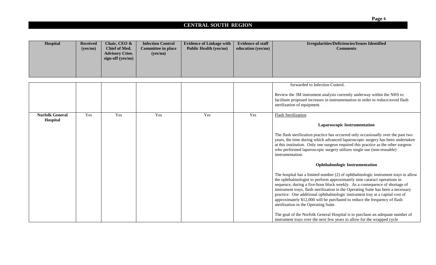| Hospital                           | <b>Received</b><br>(yes/no) | Chair, CEO &<br><b>Chief of Med.</b><br><b>Advisory Cttee.</b><br>sign-off (yes/no) | <b>Infection Control</b><br><b>Committee in place</b><br>(yes/no) | <b>Evidence of Linkage with</b><br><b>Public Health (yes/no)</b> | <b>Evidence of staff</b><br>education (yes/no) | <b>Irregularities/Deficiencies/Issues Identified</b><br><b>Comments</b>                                                                                                                                                                                                                                                                                                                                                                                                                                                                |
|------------------------------------|-----------------------------|-------------------------------------------------------------------------------------|-------------------------------------------------------------------|------------------------------------------------------------------|------------------------------------------------|----------------------------------------------------------------------------------------------------------------------------------------------------------------------------------------------------------------------------------------------------------------------------------------------------------------------------------------------------------------------------------------------------------------------------------------------------------------------------------------------------------------------------------------|
|                                    |                             |                                                                                     |                                                                   |                                                                  |                                                |                                                                                                                                                                                                                                                                                                                                                                                                                                                                                                                                        |
|                                    |                             |                                                                                     |                                                                   |                                                                  |                                                | forwarded to Infection Control.                                                                                                                                                                                                                                                                                                                                                                                                                                                                                                        |
|                                    |                             |                                                                                     |                                                                   |                                                                  |                                                | Review the 3M instrument analysis currently underway within the NHS to<br>facilitate proposed increases in instrumentation in order to reduce/avoid flash<br>sterilization of equipment.                                                                                                                                                                                                                                                                                                                                               |
| <b>Norfolk General</b><br>Hospital | Yes                         | Yes                                                                                 | Yes                                                               | Yes                                                              | Yes                                            | <b>Flash Sterilization</b>                                                                                                                                                                                                                                                                                                                                                                                                                                                                                                             |
|                                    |                             |                                                                                     |                                                                   |                                                                  |                                                | <b>Laparoscopic Instrumentation</b><br>The flash sterilization practice has occurred only occasionally over the past two<br>years, the time during which advanced laparoscopic surgery has been undertaken<br>at this institution. Only one surgeon required this practice as the other surgeon<br>who performed laparoscopic surgery utilizes single use (non-reusable)<br>instrumentation.                                                                                                                                           |
|                                    |                             |                                                                                     |                                                                   |                                                                  |                                                | <b>Ophthalmologic Instrumentation</b>                                                                                                                                                                                                                                                                                                                                                                                                                                                                                                  |
|                                    |                             |                                                                                     |                                                                   |                                                                  |                                                | The hospital has a limited number (2) of ophthalmologic instrument trays to allow<br>the ophthalmologist to perform approximately nine cataract operations in<br>sequence, during a five-hour block weekly. As a consequence of shortage of<br>instrument trays, flash sterilization in the Operating Suite has been a necessary<br>practice. One additional ophthalmologic instrument tray at a capital cost of<br>approximately \$12,000 will be purchased to reduce the frequency of flash<br>sterilization in the Operating Suite. |
|                                    |                             |                                                                                     |                                                                   |                                                                  |                                                | The goal of the Norfolk General Hospital is to purchase an adequate number of<br>instrument trays over the next few years to allow for the wrapped cycle                                                                                                                                                                                                                                                                                                                                                                               |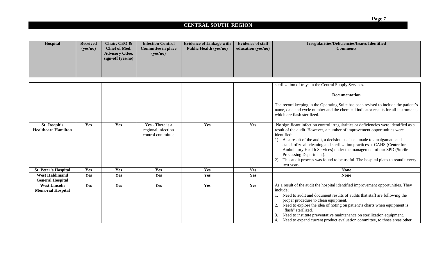| Hospital | <b>Received</b> | Chair, CEO &           | <b>Infection Control</b>  | <b>Evidence of Linkage with</b> | <b>Evidence of staff</b> | <b>Irregularities/Deficiencies/Issues Identified</b> |
|----------|-----------------|------------------------|---------------------------|---------------------------------|--------------------------|------------------------------------------------------|
|          | (yes/no)        | Chief of Med.          | <b>Committee in place</b> | <b>Public Health (yes/no)</b>   | education (yes/no)       | <b>Comments</b>                                      |
|          |                 | <b>Advisory Cttee.</b> | (yes/no)                  |                                 |                          |                                                      |
|          |                 | sign-off (yes/no)      |                           |                                 |                          |                                                      |
|          |                 |                        |                           |                                 |                          |                                                      |
|          |                 |                        |                           |                                 |                          |                                                      |
|          |                 |                        |                           |                                 |                          |                                                      |

|                                                  |     |     |                                                             |     |     | sterilization of trays in the Central Supply Services.                                                                                                                                                                                                                                                                                                                                                                                                                                                                                       |
|--------------------------------------------------|-----|-----|-------------------------------------------------------------|-----|-----|----------------------------------------------------------------------------------------------------------------------------------------------------------------------------------------------------------------------------------------------------------------------------------------------------------------------------------------------------------------------------------------------------------------------------------------------------------------------------------------------------------------------------------------------|
|                                                  |     |     |                                                             |     |     | <b>Documentation</b><br>The record keeping in the Operating Suite has been revised to include the patient's<br>name, date and cycle number and the chemical indicator results for all instruments<br>which are flash sterilized.                                                                                                                                                                                                                                                                                                             |
| St. Joseph's<br><b>Healthcare Hamilton</b>       | Yes | Yes | Yes - There is a<br>regional infection<br>control committee | Yes | Yes | No significant infection control irregularities or deficiencies were identified as a<br>result of the audit. However, a number of improvement opportunities were<br>identified:<br>As a result of the audit, a decision has been made to amalgamate and<br>standardize all cleaning and sterilization practices at CAHS (Centre for<br>Ambulatory Health Services) under the management of our SPD (Sterile<br>Processing Department).<br>This audit process was found to be useful. The hospital plans to reaudit every<br>2)<br>two years. |
| <b>St. Peter's Hospital</b>                      | Yes | Yes | Yes                                                         | Yes | Yes | <b>None</b>                                                                                                                                                                                                                                                                                                                                                                                                                                                                                                                                  |
| <b>West Haldimand</b><br><b>General Hospital</b> | Yes | Yes | Yes                                                         | Yes | Yes | <b>None</b>                                                                                                                                                                                                                                                                                                                                                                                                                                                                                                                                  |
| <b>West Lincoln</b><br><b>Memorial Hospital</b>  | Yes | Yes | Yes                                                         | Yes | Yes | As a result of the audit the hospital identified improvement opportunities. They<br>include;<br>Need to audit and document results of audits that staff are following the<br>proper procedure to clean equipment.<br>Need to explore the idea of noting on patient's charts when equipment is<br>"flash" sterilized.<br>Need to institute preventative maintenance on sterilization equipment.<br>4. Need to expand current product evaluation committee, to those areas other                                                               |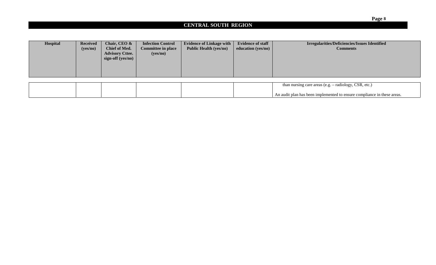| Hospital | <b>Received</b><br>(yes/no) | Chair, CEO &<br><b>Chief of Med.</b><br><b>Advisory Cttee.</b><br>sign-off (yes/no) | <b>Infection Control</b><br><b>Committee in place</b><br>(yes/no) | <b>Evidence of Linkage with</b><br><b>Public Health (yes/no)</b> | <b>Evidence of staff</b><br>education (yes/no) | <b>Irregularities/Deficiencies/Issues Identified</b><br><b>Comments</b> |
|----------|-----------------------------|-------------------------------------------------------------------------------------|-------------------------------------------------------------------|------------------------------------------------------------------|------------------------------------------------|-------------------------------------------------------------------------|
|          |                             |                                                                                     |                                                                   |                                                                  |                                                |                                                                         |
|          |                             |                                                                                     |                                                                   |                                                                  |                                                | than nursing care areas (e.g. – radiology, CSR, etc.)                   |

|  |  | than nursing care areas (e.g. $-$ radiology, CSR, etc.)                 |  |
|--|--|-------------------------------------------------------------------------|--|
|  |  |                                                                         |  |
|  |  | An audit plan has been implemented to ensure compliance in these areas. |  |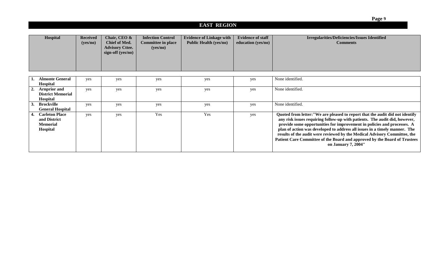|    | Hospital                                                             | <b>Received</b><br>(yes/no) | Chair, CEO &<br><b>Chief of Med.</b><br><b>Advisory Cttee.</b><br>sign-off (yes/no) | <b>Infection Control</b><br><b>Committee in place</b><br>(yes/no) | <b>Evidence of Linkage with</b><br><b>Public Health (yes/no)</b> | <b>Evidence of staff</b><br>education (yes/no) | Irregularities/Deficiencies/Issues Identified<br><b>Comments</b>                                                                                                                                                                                                                                                                                                                                                                                                                                      |
|----|----------------------------------------------------------------------|-----------------------------|-------------------------------------------------------------------------------------|-------------------------------------------------------------------|------------------------------------------------------------------|------------------------------------------------|-------------------------------------------------------------------------------------------------------------------------------------------------------------------------------------------------------------------------------------------------------------------------------------------------------------------------------------------------------------------------------------------------------------------------------------------------------------------------------------------------------|
|    | <b>Almonte General</b><br><b>Hospital</b>                            | yes                         | yes                                                                                 | yes                                                               | yes                                                              | yes                                            | None identified.                                                                                                                                                                                                                                                                                                                                                                                                                                                                                      |
|    | <b>Arnprior and</b><br><b>District Memorial</b><br><b>Hospital</b>   | yes                         | yes                                                                                 | yes                                                               | yes                                                              | yes                                            | None identified.                                                                                                                                                                                                                                                                                                                                                                                                                                                                                      |
| 3. | <b>Brockville</b><br><b>General Hospital</b>                         | yes                         | yes                                                                                 | yes                                                               | yes                                                              | yes                                            | None identified.                                                                                                                                                                                                                                                                                                                                                                                                                                                                                      |
|    | <b>Carleton Place</b><br>and District<br><b>Memorial</b><br>Hospital | yes                         | yes                                                                                 | Yes                                                               | Yes                                                              | yes                                            | Quoted from letter: "We are pleased to report that the audit did not identify<br>any risk issues requiring follow-up with patients. The audit did, however,<br>provide some opportunities for improvement in policies and processes. A<br>plan of action was developed to address all issues in a timely manner. The<br>results of the audit were reviewed by the Medical Advisory Committee, the<br>Patient Care Committee of the Board and approved by the Board of Trustees<br>on January 7, 2004" |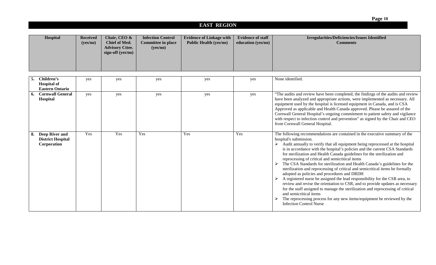| Hospital                                                         | <b>Received</b><br>(yes/no) | Chair, CEO &<br><b>Chief of Med.</b><br><b>Advisory Cttee.</b><br>sign-off (yes/no) | <b>Infection Control</b><br><b>Committee in place</b><br>(yes/no) | <b>Evidence of Linkage with</b><br><b>Public Health (yes/no)</b> | <b>Evidence of staff</b><br>education (yes/no) | <b>Irregularities/Deficiencies/Issues Identified</b><br><b>Comments</b>                                                                                                                                                                                                                                                                                                                                                                                                                                                                                                                                                                                                                                                                                                                                                                                                                                                                                                                                      |
|------------------------------------------------------------------|-----------------------------|-------------------------------------------------------------------------------------|-------------------------------------------------------------------|------------------------------------------------------------------|------------------------------------------------|--------------------------------------------------------------------------------------------------------------------------------------------------------------------------------------------------------------------------------------------------------------------------------------------------------------------------------------------------------------------------------------------------------------------------------------------------------------------------------------------------------------------------------------------------------------------------------------------------------------------------------------------------------------------------------------------------------------------------------------------------------------------------------------------------------------------------------------------------------------------------------------------------------------------------------------------------------------------------------------------------------------|
| Children's                                                       |                             |                                                                                     |                                                                   |                                                                  |                                                | None identified.                                                                                                                                                                                                                                                                                                                                                                                                                                                                                                                                                                                                                                                                                                                                                                                                                                                                                                                                                                                             |
| <b>Hospital of</b><br><b>Eastern Ontario</b>                     | yes                         | yes                                                                                 | yes                                                               | yes                                                              | yes                                            |                                                                                                                                                                                                                                                                                                                                                                                                                                                                                                                                                                                                                                                                                                                                                                                                                                                                                                                                                                                                              |
| <b>Cornwall General</b><br>Hospital                              | yes                         | yes                                                                                 | yes                                                               | yes                                                              | yes                                            | "The audits and review have been completed, the findings of the audits and review<br>have been analyzed and appropriate actions, were implemented as necessary. All<br>equipment used by the hospital is licensed equipment in Canada, and is CSA<br>Approved as applicable and Health Canada approved. Please be assured of the<br>Cornwall General Hospital's ongoing commitment to patient safety and vigilance<br>with respect to infection control and prevention" as signed by the Chair and CEO<br>from Cornwall General Hospital.                                                                                                                                                                                                                                                                                                                                                                                                                                                                    |
| <b>Deep River and</b><br><b>District Hospital</b><br>Corporation | Yes                         | Yes                                                                                 | Yes                                                               | Yes                                                              | Yes                                            | The following recommendations are contained in the executive summary of the<br>hospital's submission.<br>Audit annually to verify that all equipment being reprocessed at the hospital<br>is in accordance with the hospital's policies and the current CSA Standards<br>for sterilization and Health Canada guidelines for the sterilization and<br>reprocessing of critical and semicritical items<br>The CSA Standards for sterilization and Health Canada's guidelines for the<br>sterilization and reprocessing of critical and semicritical items be formally<br>adopted as policies and procedures and DRDH<br>A registered nurse be assigned the lead responsibility for the CSR area, to<br>review and revise the orientation to CSR, and to provide updates as necessary<br>for the staff assigned to manage the sterilization and reprocessing of critical<br>and semicritical items<br>The reprocessing process for any new items/equipment be reviewed by the<br><b>Infection Control Nurse</b> |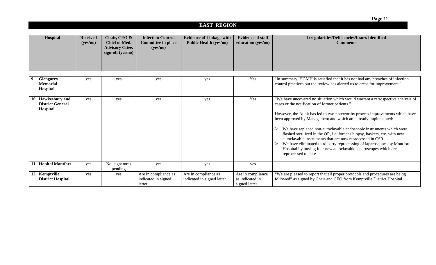| Hospital                                                  | <b>Received</b><br>(yes/no) | Chair, CEO &<br><b>Chief of Med.</b><br><b>Advisory Cttee.</b><br>sign-off (yes/no) | <b>Infection Control</b><br><b>Committee in place</b><br>(yes/no) | <b>Evidence of Linkage with</b><br><b>Public Health (yes/no)</b> | <b>Evidence of staff</b><br>education (yes/no)         | <b>Irregularities/Deficiencies/Issues Identified</b><br><b>Comments</b>                                                                                                                                                                                                                                                                                                                                                                                                                                                                                                                                                                                                  |
|-----------------------------------------------------------|-----------------------------|-------------------------------------------------------------------------------------|-------------------------------------------------------------------|------------------------------------------------------------------|--------------------------------------------------------|--------------------------------------------------------------------------------------------------------------------------------------------------------------------------------------------------------------------------------------------------------------------------------------------------------------------------------------------------------------------------------------------------------------------------------------------------------------------------------------------------------------------------------------------------------------------------------------------------------------------------------------------------------------------------|
|                                                           |                             |                                                                                     |                                                                   |                                                                  |                                                        |                                                                                                                                                                                                                                                                                                                                                                                                                                                                                                                                                                                                                                                                          |
| Glengarry<br><b>Memorial</b><br>Hospital                  | yes                         | yes                                                                                 | yes                                                               | yes                                                              | Yes                                                    | "In summary, HGMH is satisfied that it has not had any breaches of infection<br>control practices but the review has alerted us to areas for improvement."                                                                                                                                                                                                                                                                                                                                                                                                                                                                                                               |
| 10. Hawkesbury and<br><b>District General</b><br>Hospital | yes                         | yes                                                                                 | yes                                                               | yes                                                              | Yes                                                    | "We have uncovered no situation which would warrant a retrospective analysis of<br>cases or the notification of former patients."<br>However, the Audit has led to two noteworthy process improvements which have<br>been approved by Management and which are already implemented:<br>We have replaced non-autoclavable endoscopic instruments which were<br>flashed sterilized in the OR, i.e. forceps biopsy, baskets, etc. with new<br>autoclavable instruments that are now reprocessed in CSR<br>We have eliminated third party reprocessing of laparoscopes by Montfort<br>Hospital by buying four new autoclavable laparoscopes which are<br>reprocessed on-site |
| 11. Hopital Montfort                                      | yes                         | No, signatures<br>pending                                                           | yes                                                               | yes                                                              | yes                                                    |                                                                                                                                                                                                                                                                                                                                                                                                                                                                                                                                                                                                                                                                          |
| 12. Kemptville<br><b>District Hospital</b>                | yes                         | yes                                                                                 | Are in compliance as<br>indicated in signed<br>letter.            | Are in compliance as<br>indicated in signed letter.              | Are in compliance<br>as indicated in<br>signed letter. | "We are pleased to report that all proper protocols and procedures are being<br>followed" as signed by Chair and CEO from Kemptville District Hospital.                                                                                                                                                                                                                                                                                                                                                                                                                                                                                                                  |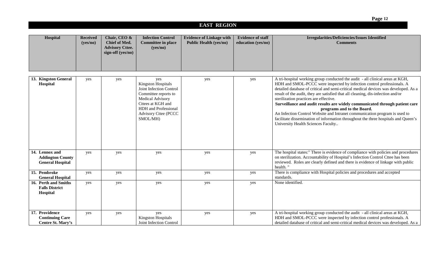|                                                                      |                             |                                                                              |                                                                                                                                                                                                 |                                                                  |                                                | Page 12                                                                                                                                                                                                                                                                                                                                                                                                                                                                                                                                                                                                                                                                                            |
|----------------------------------------------------------------------|-----------------------------|------------------------------------------------------------------------------|-------------------------------------------------------------------------------------------------------------------------------------------------------------------------------------------------|------------------------------------------------------------------|------------------------------------------------|----------------------------------------------------------------------------------------------------------------------------------------------------------------------------------------------------------------------------------------------------------------------------------------------------------------------------------------------------------------------------------------------------------------------------------------------------------------------------------------------------------------------------------------------------------------------------------------------------------------------------------------------------------------------------------------------------|
|                                                                      |                             |                                                                              |                                                                                                                                                                                                 | <b>EAST REGION</b>                                               |                                                |                                                                                                                                                                                                                                                                                                                                                                                                                                                                                                                                                                                                                                                                                                    |
| Hospital                                                             | <b>Received</b><br>(yes/no) | Chair, CEO &<br>Chief of Med.<br><b>Advisory Cttee.</b><br>sign-off (yes/no) | <b>Infection Control</b><br><b>Committee in place</b><br>(yes/no)                                                                                                                               | <b>Evidence of Linkage with</b><br><b>Public Health (yes/no)</b> | <b>Evidence of staff</b><br>education (yes/no) | <b>Irregularities/Deficiencies/Issues Identified</b><br><b>Comments</b>                                                                                                                                                                                                                                                                                                                                                                                                                                                                                                                                                                                                                            |
|                                                                      |                             |                                                                              |                                                                                                                                                                                                 |                                                                  |                                                |                                                                                                                                                                                                                                                                                                                                                                                                                                                                                                                                                                                                                                                                                                    |
| 13. Kingston General<br>Hospital                                     | yes                         | yes                                                                          | yes<br><b>Kingston Hospitals</b><br>Joint Infection Control<br>Committee reports to<br>Medical Advisory<br>Cttees at KGH and<br>HDH and Professional<br><b>Advisory Cttee (PCCC</b><br>SMOL/MH) | yes                                                              | yes                                            | A tri-hospital working group conducted the audit - all clinical areas at KGH,<br>HDH and SMOL-PCCC were inspected by infection control professionals. A<br>detailed database of critical and semi-critical medical devices was developed. As a<br>result of the audit, they are satisfied that all cleaning, dis-infection and/or<br>sterilization practices are effective.<br>Surveillance and audit results are widely communicated through patient care<br>programs and to the Board.<br>An Infection Control Website and Intranet communication program is used to<br>facilitate dissemination of information throughout the three hospitals and Queen's<br>University Health Sciences Faculty |
| 14. Lennox and<br><b>Addington County</b><br><b>General Hospital</b> | yes                         | yes                                                                          | yes                                                                                                                                                                                             | yes                                                              | yes                                            | The hospital states:" There is evidence of compliance with policies and procedures<br>on sterilization. Accountability of Hospital's Infection Control Cttee has been<br>reviewed. Roles are clearly defined and there is evidence of linkage with public<br>health.'                                                                                                                                                                                                                                                                                                                                                                                                                              |
| 15. Pembroke<br><b>General Hospital</b>                              | yes                         | yes                                                                          | yes                                                                                                                                                                                             | yes                                                              | yes                                            | There is compliance with Hospital policies and procedures and accepted<br>standards.                                                                                                                                                                                                                                                                                                                                                                                                                                                                                                                                                                                                               |
| 16. Perth and Smiths<br><b>Falls District</b><br>Hospital            | yes                         | yes                                                                          | yes                                                                                                                                                                                             | yes                                                              | yes                                            | None identified.                                                                                                                                                                                                                                                                                                                                                                                                                                                                                                                                                                                                                                                                                   |
| 17. Providence<br><b>Continuing Care</b><br>Centre St. Mary's        | yes                         | yes                                                                          | yes<br><b>Kingston Hospitals</b><br>Joint Infection Control                                                                                                                                     | yes                                                              | yes                                            | A tri-hospital working group conducted the audit - all clinical areas at KGH,<br>HDH and SMOL-PCCC were inspected by infection control professionals. A<br>detailed database of critical and semi-critical medical devices was developed. As a                                                                                                                                                                                                                                                                                                                                                                                                                                                     |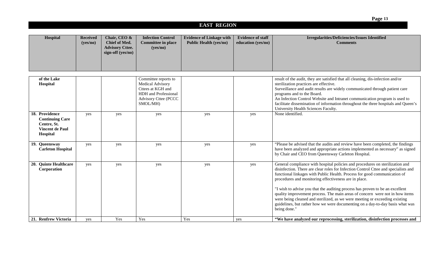|                                                                                               |                             |                                                                              |                                                                                                          |                                                                  |                                                | Page 13                                                                                                                                                                                                                                                                                                                                                                                                                                                                                                                                                                                                                                                     |
|-----------------------------------------------------------------------------------------------|-----------------------------|------------------------------------------------------------------------------|----------------------------------------------------------------------------------------------------------|------------------------------------------------------------------|------------------------------------------------|-------------------------------------------------------------------------------------------------------------------------------------------------------------------------------------------------------------------------------------------------------------------------------------------------------------------------------------------------------------------------------------------------------------------------------------------------------------------------------------------------------------------------------------------------------------------------------------------------------------------------------------------------------------|
|                                                                                               |                             |                                                                              |                                                                                                          | <b>EAST REGION</b>                                               |                                                |                                                                                                                                                                                                                                                                                                                                                                                                                                                                                                                                                                                                                                                             |
| Hospital                                                                                      | <b>Received</b><br>(yes/no) | Chair, CEO &<br>Chief of Med.<br><b>Advisory Cttee.</b><br>sign-off (yes/no) | <b>Infection Control</b><br><b>Committee in place</b><br>(yes/no)                                        | <b>Evidence of Linkage with</b><br><b>Public Health (yes/no)</b> | <b>Evidence of staff</b><br>education (yes/no) | <b>Irregularities/Deficiencies/Issues Identified</b><br><b>Comments</b>                                                                                                                                                                                                                                                                                                                                                                                                                                                                                                                                                                                     |
| of the Lake                                                                                   |                             |                                                                              | Committee reports to                                                                                     |                                                                  |                                                | result of the audit, they are satisfied that all cleaning, dis-infection and/or                                                                                                                                                                                                                                                                                                                                                                                                                                                                                                                                                                             |
| Hospital                                                                                      |                             |                                                                              | Medical Advisory<br>Cttees at KGH and<br>HDH and Professional<br><b>Advisory Cttee (PCCC</b><br>SMOL/MH) |                                                                  |                                                | sterilization practices are effective.<br>Surveillance and audit results are widely communicated through patient care<br>programs and to the Board.<br>An Infection Control Website and Intranet communication program is used to<br>facilitate dissemination of information throughout the three hospitals and Queen's<br>University Health Sciences Faculty.                                                                                                                                                                                                                                                                                              |
| 18. Providence<br><b>Continuing Care</b><br>Centre, St.<br><b>Vincent de Paul</b><br>Hospital | yes                         | yes                                                                          | yes                                                                                                      | yes                                                              | yes                                            | None identified.                                                                                                                                                                                                                                                                                                                                                                                                                                                                                                                                                                                                                                            |
| 19. Queensway<br><b>Carleton Hospital</b>                                                     | yes                         | yes                                                                          | yes                                                                                                      | yes                                                              | yes                                            | "Please be advised that the audits and review have been completed, the findings<br>have been analyzed and appropriate actions implemented as necessary" as signed<br>by Chair and CEO from Queensway Carleton Hospital.                                                                                                                                                                                                                                                                                                                                                                                                                                     |
| 20. Quinte Healthcare<br>Corporation                                                          | yes                         | yes                                                                          | yes                                                                                                      | yes                                                              | yes                                            | General compliance with hospital policies and procedures on sterilization and<br>disinfection. There are clear roles for Infection Control Cttee and specialists and<br>functional linkages with Public Health. Process for good communication of<br>procedures and monitoring effectiveness are in place.<br>"I wish to advise you that the auditing process has proven to be an excellent<br>quality improvement process. The main areas of concern were not in how items<br>were being cleaned and sterilized, as we were meeting or exceeding existing<br>guidelines, but rather how we were documenting on a day-to-day basis what was<br>being done." |
| 21. Renfrew Victoria                                                                          | yes                         | Yes                                                                          | Yes                                                                                                      | Yes                                                              | yes                                            | "We have analyzed our reprocessing, sterilization, disinfection processes and                                                                                                                                                                                                                                                                                                                                                                                                                                                                                                                                                                               |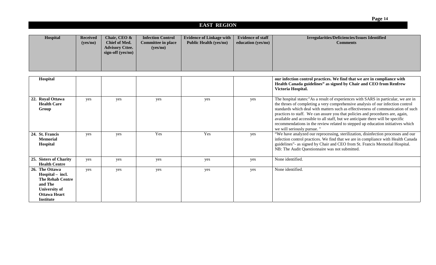| Hospital | <b>Received</b><br>(yes/no) | Chair, CEO &<br>Chief of Med.<br><b>Advisory Cttee.</b><br>sign-off $(yes/no)$ | <b>Infection Control</b><br><b>Committee in place</b><br>(yes/no) | <b>Evidence of Linkage with</b><br><b>Public Health (yes/no)</b> | <b>Evidence of staff</b><br>education (yes/no) | <b>Irregularities/Deficiencies/Issues Identified</b><br><b>Comments</b> |
|----------|-----------------------------|--------------------------------------------------------------------------------|-------------------------------------------------------------------|------------------------------------------------------------------|------------------------------------------------|-------------------------------------------------------------------------|
|----------|-----------------------------|--------------------------------------------------------------------------------|-------------------------------------------------------------------|------------------------------------------------------------------|------------------------------------------------|-------------------------------------------------------------------------|

| Hospital                                                                                                                                    |     |     |     |     |     | our infection control practices. We find that we are in compliance with<br>Health Canada guidelines" as signed by Chair and CEO from Renfrew<br>Victoria Hospital.                                                                                                                                                                                                                                                                                                                                                                              |
|---------------------------------------------------------------------------------------------------------------------------------------------|-----|-----|-----|-----|-----|-------------------------------------------------------------------------------------------------------------------------------------------------------------------------------------------------------------------------------------------------------------------------------------------------------------------------------------------------------------------------------------------------------------------------------------------------------------------------------------------------------------------------------------------------|
| 22. Royal Ottawa<br><b>Health Care</b><br>Group                                                                                             | yes | yes | yes | yes | yes | The hospital states:"As a result of experiences with SARS in particular, we are in<br>the throes of completing a very comprehensive analysis of our infection control<br>standards which deal with matters such as effectiveness of communication of such<br>practices to staff. We can assure you that policies and procedures are, again,<br>available and accessible to all staff, but we anticipate there will be specific<br>recommendations in the review related to stepped up education initiatives which<br>we will seriously pursue." |
| 24. St. Francis<br><b>Memorial</b><br>Hospital                                                                                              | yes | yes | Yes | Yes | yes | "We have analyzed our reprocessing, sterilization, disinfection processes and our<br>infection control practices. We find that we are in compliance with Health Canada<br>guidelines"- as signed by Chair and CEO from St. Francis Memorial Hospital.<br>NB: The Audit Questionnaire was not submitted.                                                                                                                                                                                                                                         |
| 25. Sisters of Charity<br><b>Health Centre</b>                                                                                              | yes | yes | yes | yes | yes | None identified.                                                                                                                                                                                                                                                                                                                                                                                                                                                                                                                                |
| 26. The Ottawa<br>Hospital – incl.<br><b>The Rehab Centre</b><br>and The<br><b>University of</b><br><b>Ottawa Heart</b><br><b>Institute</b> | yes | yes | yes | yes | yes | None identified.                                                                                                                                                                                                                                                                                                                                                                                                                                                                                                                                |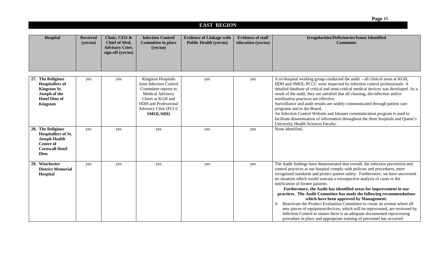|                                                                                                                                     |                             |                                                                                     |                                                                                                                                                                                                        |                                                                  |                                                | Page 15                                                                                                                                                                                                                                                                                                                                                                                                                                                                                                                                                                                                                                                                                                                                                                                                                                                                       |
|-------------------------------------------------------------------------------------------------------------------------------------|-----------------------------|-------------------------------------------------------------------------------------|--------------------------------------------------------------------------------------------------------------------------------------------------------------------------------------------------------|------------------------------------------------------------------|------------------------------------------------|-------------------------------------------------------------------------------------------------------------------------------------------------------------------------------------------------------------------------------------------------------------------------------------------------------------------------------------------------------------------------------------------------------------------------------------------------------------------------------------------------------------------------------------------------------------------------------------------------------------------------------------------------------------------------------------------------------------------------------------------------------------------------------------------------------------------------------------------------------------------------------|
|                                                                                                                                     |                             |                                                                                     |                                                                                                                                                                                                        | <b>EAST REGION</b>                                               |                                                |                                                                                                                                                                                                                                                                                                                                                                                                                                                                                                                                                                                                                                                                                                                                                                                                                                                                               |
| Hospital                                                                                                                            | <b>Received</b><br>(yes/no) | Chair, CEO &<br><b>Chief of Med.</b><br><b>Advisory Cttee.</b><br>sign-off (yes/no) | <b>Infection Control</b><br><b>Committee in place</b><br>(yes/no)                                                                                                                                      | <b>Evidence of Linkage with</b><br><b>Public Health (yes/no)</b> | <b>Evidence of staff</b><br>education (yes/no) | <b>Irregularities/Deficiencies/Issues Identified</b><br><b>Comments</b>                                                                                                                                                                                                                                                                                                                                                                                                                                                                                                                                                                                                                                                                                                                                                                                                       |
| 27. The Religious<br><b>Hospitallers of</b><br>Kingston St.<br>Joseph of the<br><b>Hotel Dieu of</b><br><b>Kingston</b>             | yes                         | yes                                                                                 | <b>Kingston Hospitals</b><br>Joint Infection Control<br>Committee reports to<br><b>Medical Advisory</b><br>Cttees at KGH and<br><b>HDH</b> and Professional<br><b>Advisory Cttee (PCCC</b><br>SMOL/MH) | yes                                                              | yes                                            | A tri-hospital working group conducted the audit - all clinical areas at KGH,<br>HDH and SMOL-PCCC were inspected by infection control professionals. A<br>detailed database of critical and semi-critical medical devices was developed. As a<br>result of the audit, they are satisfied that all cleaning, dis-infection and/or<br>sterilization practices are effective.<br>Surveillance and audit results are widely communicated through patient care<br>programs and to the Board.<br>An Infection Control Website and Intranet communication program is used to<br>facilitate dissemination of information throughout the three hospitals and Queen's<br>University Health Sciences Faculty.                                                                                                                                                                           |
| 28. The Religious<br><b>Hospitallers of St.</b><br><b>Joseph Health</b><br><b>Centre of</b><br><b>Cornwall Hotel</b><br><b>Dieu</b> | yes                         | yes                                                                                 | yes                                                                                                                                                                                                    | yes                                                              | yes                                            | None identified.                                                                                                                                                                                                                                                                                                                                                                                                                                                                                                                                                                                                                                                                                                                                                                                                                                                              |
| 29. Winchester<br><b>District Memorial</b><br>Hospital                                                                              | yes                         | yes                                                                                 | yes                                                                                                                                                                                                    | yes                                                              | yes                                            | The Audit findings have demonstrated that overall, the infection prevention and<br>control practices at our hospital comply with policies and procedures, meet<br>recognized standards and protect patient safety. Furthermore, we have uncovered<br>no situation which would warrant a retrospective analysis of cases or the<br>notification of former patients.<br>Furthermore, the Audit has identified areas for improvement in our<br>practices. The Audit Committee has made the following recommendations<br>which have been approved by Management:<br>Reactivate the Product Evaluation Committee to create an avenue where all<br>new pieces of equipment/devices, which will be reprocessed, are reviewed by<br>Infection Control to ensure there is an adequate documented reprocessing<br>procedure in place and appropriate training of personnel has occurred |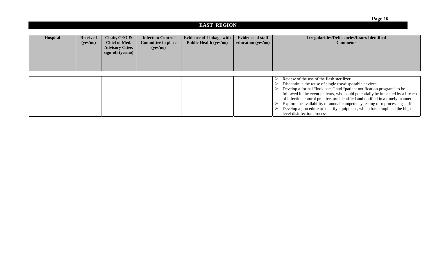| <b>EAST REGION</b> |                             |                                                                                     |                                                                   |                                                                  |                                                |                                                                                                                                                                                                                                                                                                                                                                                                                                                                                                                                         |  |  |
|--------------------|-----------------------------|-------------------------------------------------------------------------------------|-------------------------------------------------------------------|------------------------------------------------------------------|------------------------------------------------|-----------------------------------------------------------------------------------------------------------------------------------------------------------------------------------------------------------------------------------------------------------------------------------------------------------------------------------------------------------------------------------------------------------------------------------------------------------------------------------------------------------------------------------------|--|--|
| Hospital           | <b>Received</b><br>(yes/no) | Chair, CEO &<br><b>Chief of Med.</b><br><b>Advisory Cttee.</b><br>sign-off (yes/no) | <b>Infection Control</b><br><b>Committee in place</b><br>(yes/no) | <b>Evidence of Linkage with</b><br><b>Public Health (yes/no)</b> | <b>Evidence of staff</b><br>education (yes/no) | Irregularities/Deficiencies/Issues Identified<br><b>Comments</b>                                                                                                                                                                                                                                                                                                                                                                                                                                                                        |  |  |
|                    |                             |                                                                                     |                                                                   |                                                                  |                                                | Review of the use of the flash sterilizer<br>Discontinue the reuse of single use/disposable devices<br>Develop a formal "look back" and "patient notification program" to be<br>followed in the event patients, who could potentially be impacted by a breach<br>of infection control practice, are identified and notified in a timely manner<br>Explore the availability of annual competency testing of reprocessing staff<br>Develop a procedure to identify equipment, which has completed the high-<br>level disinfection process |  |  |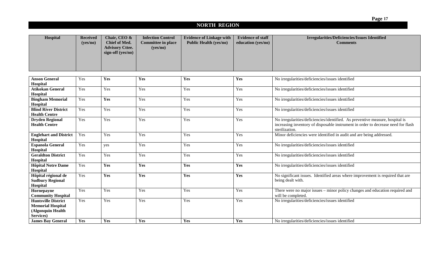# **NORTH REGION**

| Hospital                                                                                 | <b>Received</b><br>(yes/no) | Chair, CEO &<br>Chief of Med.<br><b>Advisory Cttee.</b><br>sign-off (yes/no) | <b>Infection Control</b><br><b>Committee in place</b><br>(yes/no) | <b>Evidence of Linkage with</b><br><b>Public Health (yes/no)</b> | <b>Evidence of staff</b><br>education (yes/no) | <b>Irregularities/Deficiencies/Issues Identified</b><br><b>Comments</b>                                                                                                              |
|------------------------------------------------------------------------------------------|-----------------------------|------------------------------------------------------------------------------|-------------------------------------------------------------------|------------------------------------------------------------------|------------------------------------------------|--------------------------------------------------------------------------------------------------------------------------------------------------------------------------------------|
|                                                                                          |                             |                                                                              |                                                                   |                                                                  |                                                |                                                                                                                                                                                      |
| <b>Anson General</b><br>Hospital                                                         | Yes                         | Yes                                                                          | Yes                                                               | Yes                                                              | Yes                                            | No irregularities/deficiencies/issues identified                                                                                                                                     |
| <b>Atikokan General</b><br>Hospital                                                      | Yes                         | Yes                                                                          | Yes                                                               | Yes                                                              | Yes                                            | No irregularities/deficiencies/issues identified                                                                                                                                     |
| <b>Bingham Memorial</b><br>Hospital                                                      | Yes                         | Yes                                                                          | Yes                                                               | Yes                                                              | Yes                                            | No irregularities/deficiencies/issues identified                                                                                                                                     |
| <b>Blind River District</b><br><b>Health Centre</b>                                      | Yes                         | Yes                                                                          | Yes                                                               | Yes                                                              | Yes                                            | No irregularities/deficiencies/issues identified                                                                                                                                     |
| <b>Dryden Regional</b><br><b>Health Centre</b>                                           | Yes                         | Yes                                                                          | Yes                                                               | Yes                                                              | Yes                                            | No irregularities/deficiencies/identified. As preventive measure, hospital is<br>increasing inventory of disposable instrument in order to decrease need for flash<br>sterilization. |
| <b>Englehart and District</b><br>Hospital                                                | Yes                         | Yes                                                                          | Yes                                                               | Yes                                                              | Yes                                            | Minor deficiencies were identified in audit and are being addressed.                                                                                                                 |
| <b>Espanola General</b><br>Hospital                                                      | Yes                         | yes                                                                          | Yes                                                               | Yes                                                              | Yes                                            | No irregularities/deficiencies/issues identified                                                                                                                                     |
| <b>Geraldton District</b><br>Hospital                                                    | Yes                         | Yes                                                                          | Yes                                                               | Yes                                                              | Yes                                            | No irregularities/deficiencies/issues identified                                                                                                                                     |
| <b>Hôpital Notre Dame</b><br>Hospital                                                    | Yes                         | Yes                                                                          | Yes                                                               | Yes                                                              | Yes                                            | No irregularities/deficiencies/issues identified                                                                                                                                     |
| Hôpital régional de<br><b>Sudbury Regional</b><br>Hospital                               | Yes                         | Yes                                                                          | Yes                                                               | Yes                                                              | Yes                                            | No significant issues. Identified areas where improvement is required that are<br>being dealt with.                                                                                  |
| Hornepayne<br><b>Community Hospital</b>                                                  | Yes                         | Yes                                                                          | Yes                                                               | Yes                                                              | Yes                                            | There were no major issues – minor policy changes and education required and<br>will be completed.                                                                                   |
| <b>Huntsville District</b><br><b>Memorial Hospital</b><br>(Algonquin Health<br>Services) | Yes                         | Yes                                                                          | Yes                                                               | Yes                                                              | Yes                                            | No irregularities/deficiencies/issues identified                                                                                                                                     |
| <b>James Bay General</b>                                                                 | Yes                         | Yes                                                                          | Yes                                                               | Yes                                                              | Yes                                            | No irregularities/deficiencies/issues identified                                                                                                                                     |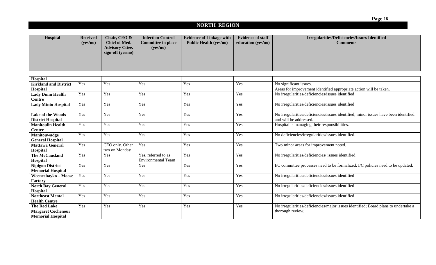# **NORTH REGION**

| Hospital                                            | <b>Received</b> | Chair, CEO &                            | <b>Infection Control</b>              | <b>Evidence of Linkage with</b> | <b>Evidence of staff</b> | Irregularities/Deficiencies/Issues Identified                                       |
|-----------------------------------------------------|-----------------|-----------------------------------------|---------------------------------------|---------------------------------|--------------------------|-------------------------------------------------------------------------------------|
|                                                     | (yes/no)        | Chief of Med.<br><b>Advisory Cttee.</b> | <b>Committee in place</b><br>(yes/no) | <b>Public Health (yes/no)</b>   | education (yes/no)       | <b>Comments</b>                                                                     |
|                                                     |                 | sign-off (yes/no)                       |                                       |                                 |                          |                                                                                     |
|                                                     |                 |                                         |                                       |                                 |                          |                                                                                     |
|                                                     |                 |                                         |                                       |                                 |                          |                                                                                     |
|                                                     |                 |                                         |                                       |                                 |                          |                                                                                     |
| Hospital                                            |                 |                                         |                                       |                                 |                          |                                                                                     |
| <b>Kirkland and District</b>                        | Yes             | Yes                                     | Yes                                   | Yes                             | Yes                      | No significant issues.                                                              |
| Hospital                                            |                 |                                         |                                       |                                 |                          | Areas for improvement identified appropriate action will be taken.                  |
| <b>Lady Dunn Health</b>                             | Yes             | Yes                                     | Yes                                   | Yes                             | Yes                      | No irregularities/deficiencies/issues identified                                    |
| <b>Centre</b>                                       |                 |                                         |                                       |                                 |                          |                                                                                     |
| <b>Lady Minto Hospital</b>                          | Yes             | Yes                                     | Yes                                   | Yes                             | Yes                      | No irregularities/deficiencies/issues identified                                    |
| Lake of the Woods                                   | Yes             | Yes                                     | Yes                                   | Yes                             | Yes                      | No irregularities/deficiencies/issues identified; minor issues have been identified |
| <b>District Hospital</b>                            |                 |                                         |                                       |                                 |                          | and will be addressed.                                                              |
| <b>Manitoulin Health</b>                            | Yes             | Yes                                     | Yes                                   | Yes                             | Yes                      | Hospital is managing their responsibilities.                                        |
| <b>Centre</b>                                       |                 |                                         |                                       |                                 |                          |                                                                                     |
| Manitouwadge<br><b>General Hospital</b>             | Yes             | Yes                                     | Yes                                   | Yes                             | Yes                      | No deficiencies/irregularities/issues identified.                                   |
| <b>Mattawa General</b>                              | Yes             | CEO only. Other                         | Yes                                   | Yes                             | Yes                      | Two minor areas for improvement noted.                                              |
| Hospital                                            |                 | two on Monday                           |                                       |                                 |                          |                                                                                     |
| <b>The McCausland</b>                               | Yes             | Yes                                     | Yes, referred to as                   | Yes                             | Yes                      | No irregularities/deficiencies/ issues identified                                   |
| Hospital                                            |                 |                                         | <b>Environmental Team</b>             |                                 |                          |                                                                                     |
| <b>Nipigon District</b><br><b>Memorial Hospital</b> | Yes             | Yes                                     | Yes                                   | Yes                             | Yes                      | I/C committee processes need to be formalized. I/C policies need to be updated.     |
| Weeneebayko - Moose                                 | Yes             | Yes                                     | Yes                                   | Yes                             | Yes                      | No irregularities/deficiencies/issues identified                                    |
| Factory                                             |                 |                                         |                                       |                                 |                          |                                                                                     |
| <b>North Bay General</b>                            | Yes             | Yes                                     | Yes                                   | Yes                             | Yes                      | No irregularities/deficiencies/issues identified                                    |
| Hospital                                            |                 |                                         |                                       |                                 |                          |                                                                                     |
| <b>Northeast Mental</b>                             | Yes             | Yes                                     | Yes                                   | Yes                             | Yes                      | No irregularities/deficiencies/issues identified                                    |
| <b>Health Centre</b>                                |                 |                                         |                                       |                                 |                          |                                                                                     |
| <b>The Red Lake</b>                                 | Yes             | Yes                                     | Yes                                   | Yes                             | Yes                      | No irregularities/deficiencies/major issues identified; Board plans to undertake a  |
| <b>Margaret Cochenour</b>                           |                 |                                         |                                       |                                 |                          | thorough review.                                                                    |
| <b>Memorial Hospital</b>                            |                 |                                         |                                       |                                 |                          |                                                                                     |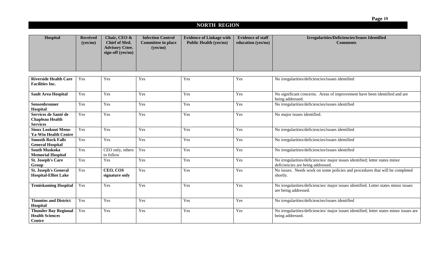# **NORTH REGION**

| Hospital                                                               | <b>Received</b><br>(yes/no) | Chair, CEO &<br><b>Chief of Med.</b><br><b>Advisory Cttee.</b><br>sign-off (yes/no) | <b>Infection Control</b><br><b>Committee in place</b><br>(yes/no) | <b>Evidence of Linkage with</b><br><b>Public Health (yes/no)</b> | <b>Evidence of staff</b><br>education (yes/no) | <b>Irregularities/Deficiencies/Issues Identified</b><br><b>Comments</b>                                           |
|------------------------------------------------------------------------|-----------------------------|-------------------------------------------------------------------------------------|-------------------------------------------------------------------|------------------------------------------------------------------|------------------------------------------------|-------------------------------------------------------------------------------------------------------------------|
| <b>Riverside Health Care</b>                                           | Yes                         | Yes                                                                                 | Yes                                                               | Yes                                                              | Yes                                            | No irregularities/deficiencies/issues identified                                                                  |
| <b>Facilities Inc.</b>                                                 |                             |                                                                                     |                                                                   |                                                                  |                                                |                                                                                                                   |
| <b>Sault Area Hospital</b>                                             | Yes                         | Yes                                                                                 | Yes                                                               | Yes                                                              | Yes                                            | No significant concerns. Areas of improvement have been identified and are<br>being addressed.                    |
| Sensenbrenner<br>Hospital                                              | Yes                         | Yes                                                                                 | Yes                                                               | Yes                                                              | Yes                                            | No irregularities/deficiencies/issues identified                                                                  |
| Services de Santé de<br><b>Chapleau Health</b><br><b>Services</b>      | Yes                         | Yes                                                                                 | Yes                                                               | Yes                                                              | Yes                                            | No major issues identified.                                                                                       |
| <b>Sioux Lookout Meno-</b><br><b>Ya-Win Health Centre</b>              | Yes                         | Yes                                                                                 | Yes                                                               | Yes                                                              | Yes                                            | No irregularities/deficiencies/issues identified                                                                  |
| <b>Smooth Rock Falls</b><br><b>General Hospital</b>                    | Yes                         | Yes                                                                                 | Yes                                                               | Yes                                                              | Yes                                            | No irregularities/deficiencies/issues identified                                                                  |
| <b>South Muskoka</b><br><b>Memorial Hospital</b>                       | Yes                         | CEO only, others<br>to follow                                                       | Yes                                                               | Yes                                                              | Yes                                            | No irregularities/deficiencies/issues identified                                                                  |
| <b>St. Joseph's Care</b><br>Group                                      | Yes                         | Yes                                                                                 | Yes                                                               | Yes                                                              | Yes                                            | No irregularities/deficiencies/ major issues identified; letter states minor<br>deficiencies are being addressed. |
| <b>St. Joseph's General</b><br><b>Hospital-Elliot Lake</b>             | Yes                         | CEO, COS<br>signature only                                                          | Yes                                                               | Yes                                                              | Yes                                            | No issues. Needs work on some policies and procedures that will be completed<br>shortly.                          |
| <b>Temiskaming Hospital</b>                                            | Yes                         | Yes                                                                                 | Yes                                                               | Yes                                                              | Yes                                            | No irregularities/deficiencies/ major issues identified. Letter states minor issues<br>are being addressed.       |
| <b>Timmins and District</b><br>Hospital                                | Yes                         | Yes                                                                                 | Yes                                                               | Yes                                                              | Yes                                            | No irregularities/deficiencies/issues identified                                                                  |
| <b>Thunder Bay Regional</b><br><b>Health Sciences</b><br><b>Centre</b> | Yes                         | Yes                                                                                 | Yes                                                               | Yes                                                              | Yes                                            | No irregularities/deficiencies/ major issues identified; letter states minor issues are<br>being addressed.       |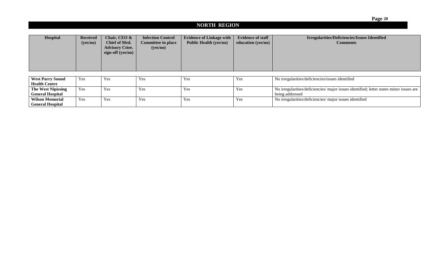|                           |                     |                        |                           |                                 |                          | Page 20                                                                                 |  |  |  |  |  |
|---------------------------|---------------------|------------------------|---------------------------|---------------------------------|--------------------------|-----------------------------------------------------------------------------------------|--|--|--|--|--|
|                           | <b>NORTH REGION</b> |                        |                           |                                 |                          |                                                                                         |  |  |  |  |  |
|                           |                     |                        |                           |                                 |                          |                                                                                         |  |  |  |  |  |
| Hospital                  | <b>Received</b>     | Chair, CEO &           | <b>Infection Control</b>  | <b>Evidence of Linkage with</b> | <b>Evidence of staff</b> | <b>Irregularities/Deficiencies/Issues Identified</b>                                    |  |  |  |  |  |
|                           | (yes/no)            | <b>Chief of Med.</b>   | <b>Committee in place</b> | <b>Public Health (yes/no)</b>   | education (yes/no)       | <b>Comments</b>                                                                         |  |  |  |  |  |
|                           |                     | <b>Advisory Cttee.</b> | (yes/no)                  |                                 |                          |                                                                                         |  |  |  |  |  |
|                           |                     | sign-off (yes/no)      |                           |                                 |                          |                                                                                         |  |  |  |  |  |
|                           |                     |                        |                           |                                 |                          |                                                                                         |  |  |  |  |  |
|                           |                     |                        |                           |                                 |                          |                                                                                         |  |  |  |  |  |
|                           |                     |                        |                           |                                 |                          |                                                                                         |  |  |  |  |  |
| <b>West Parry Sound</b>   | Yes                 | Yes                    | Yes                       | Yes                             | Yes                      | No irregularities/deficiencies/issues identified                                        |  |  |  |  |  |
| <b>Health Centre</b>      |                     |                        |                           |                                 |                          |                                                                                         |  |  |  |  |  |
| <b>The West Nipissing</b> | Yes                 | Yes                    | Yes                       | Yes                             | Yes                      | No irregularities/deficiencies/ major issues identified; letter states minor issues are |  |  |  |  |  |
| <b>General Hospital</b>   |                     |                        |                           |                                 |                          | being addressed                                                                         |  |  |  |  |  |
| <b>Wilson Memorial</b>    | Yes                 | Yes                    | Yes                       | Yes                             | Yes                      | No irregularities/deficiencies/ major issues identified                                 |  |  |  |  |  |
| <b>General Hospital</b>   |                     |                        |                           |                                 |                          |                                                                                         |  |  |  |  |  |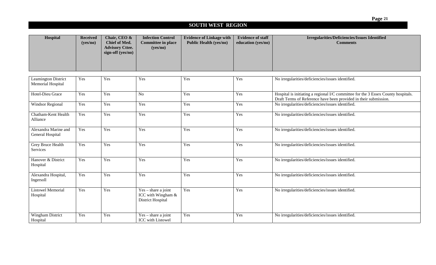# **SOUTH WEST REGION**

| Hospital                                        | <b>Received</b><br>(yes/no) | Chair, CEO &<br>Chief of Med.<br><b>Advisory Cttee.</b><br>sign-off (yes/no) | <b>Infection Control</b><br><b>Committee in place</b><br>(yes/no) | <b>Evidence of Linkage with</b><br><b>Public Health (yes/no)</b> | <b>Evidence of staff</b><br>education (yes/no) | <b>Irregularities/Deficiencies/Issues Identified</b><br><b>Comments</b>                                                                               |
|-------------------------------------------------|-----------------------------|------------------------------------------------------------------------------|-------------------------------------------------------------------|------------------------------------------------------------------|------------------------------------------------|-------------------------------------------------------------------------------------------------------------------------------------------------------|
|                                                 |                             |                                                                              |                                                                   |                                                                  |                                                |                                                                                                                                                       |
| <b>Leamington District</b><br>Memorial Hospital | Yes                         | Yes                                                                          | Yes                                                               | Yes                                                              | Yes                                            | No irregularities/deficiencies/issues identified.                                                                                                     |
| Hotel-Dieu Grace                                | Yes                         | Yes                                                                          | N <sub>o</sub>                                                    | Yes                                                              | Yes                                            | Hospital is initiating a regional I/C committee for the 3 Essex County hospitals.<br>Draft Terms of Reference have been provided in their submission. |
| Windsor Regional                                | Yes                         | Yes                                                                          | Yes                                                               | Yes                                                              | Yes                                            | No irregularities/deficiencies/issues identified.                                                                                                     |
| Chatham-Kent Health<br>Alliance                 | Yes                         | Yes                                                                          | Yes                                                               | Yes                                                              | Yes                                            | No irregularities/deficiencies/issues identified.                                                                                                     |
| Alexandra Marine and<br>General Hospital        | Yes                         | Yes                                                                          | Yes                                                               | Yes                                                              | Yes                                            | No irregularities/deficiencies/issues identified.                                                                                                     |
| <b>Grey Bruce Health</b><br>Services            | Yes                         | Yes                                                                          | Yes                                                               | Yes                                                              | Yes                                            | No irregularities/deficiencies/issues identified.                                                                                                     |
| Hanover & District<br>Hospital                  | Yes                         | Yes                                                                          | Yes                                                               | Yes                                                              | Yes                                            | No irregularities/deficiencies/issues identified.                                                                                                     |
| Alexandra Hospital,<br>Ingersoll                | Yes                         | Yes                                                                          | Yes                                                               | Yes                                                              | Yes                                            | No irregularities/deficiencies/issues identified.                                                                                                     |
| <b>Listowel Memorial</b><br>Hospital            | Yes                         | Yes                                                                          | $Yes - share a joint$<br>ICC with Wingham &<br>District Hospital  | Yes                                                              | Yes                                            | No irregularities/deficiencies/issues identified.                                                                                                     |
| Wingham District<br>Hospital                    | Yes                         | Yes                                                                          | $Yes - share a joint$<br>ICC with Listowel                        | Yes                                                              | Yes                                            | No irregularities/deficiencies/issues identified.                                                                                                     |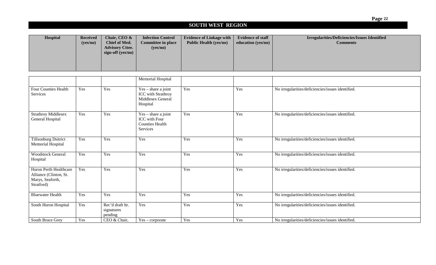### **SOUTH WEST REGION**

| Hospital | <b>Received</b><br>(yes/no) | Chair, CEO &<br>Chief of Med.<br><b>Advisory Cttee.</b><br>sign-off (yes/no) | <b>Infection Control</b><br><b>Committee in place</b><br>(yes/no) | <b>Evidence of Linkage with</b><br><b>Public Health (yes/no)</b> | <b>Evidence of staff</b><br>education (yes/no) | Irregularities/Deficiencies/Issues Identified<br><b>Comments</b> |
|----------|-----------------------------|------------------------------------------------------------------------------|-------------------------------------------------------------------|------------------------------------------------------------------|------------------------------------------------|------------------------------------------------------------------|
|          |                             |                                                                              |                                                                   |                                                                  |                                                |                                                                  |

|                                                                                    |     |                                           | Memorial Hospital                                                                   |     |     |                                                   |
|------------------------------------------------------------------------------------|-----|-------------------------------------------|-------------------------------------------------------------------------------------|-----|-----|---------------------------------------------------|
| <b>Four Counties Health</b><br>Services                                            | Yes | Yes                                       | $Yes - share a joint$<br><b>ICC</b> with Strathroy<br>Middlesex General<br>Hospital | Yes | Yes | No irregularities/deficiencies/issues identified. |
| <b>Strathroy Middlesex</b><br>General Hospital                                     | Yes | Yes                                       | $Yes - share a joint$<br>ICC with Four<br><b>Counties Health</b><br>Services        | Yes | Yes | No irregularities/deficiencies/issues identified. |
| <b>Tillsonburg Dsitrict</b><br>Memorial Hospital                                   | Yes | Yes                                       | Yes                                                                                 | Yes | Yes | No irregularities/deficiencies/issues identified. |
| <b>Woodstock General</b><br>Hospital                                               | Yes | Yes                                       | Yes                                                                                 | Yes | Yes | No irregularities/deficiencies/issues identified. |
| Huron Perth Healthcare<br>Alliance (Clinton, St.<br>Marys, Seaforth,<br>Stratford) | Yes | Yes                                       | Yes                                                                                 | Yes | Yes | No irregularities/deficiencies/issues identified. |
| <b>Bluewater Health</b>                                                            | Yes | Yes                                       | Yes                                                                                 | Yes | Yes | No irregularities/deficiencies/issues identified. |
| South Huron Hospital                                                               | Yes | Rec'd draft ltr.<br>signatures<br>pending | Yes                                                                                 | Yes | Yes | No irregularities/deficiencies/issues identified. |
| South Bruce Grey                                                                   | Yes | CEO & Chair,                              | $Yes - corporate$                                                                   | Yes | Yes | No irregularities/deficiencies/issues identified. |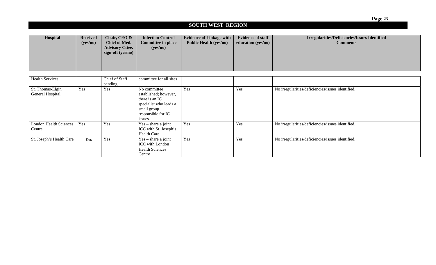### **SOUTH WEST REGION**

| Hospital | <b>Received</b> | Chair, CEO &                                  | <b>Infection Control</b>  | <b>Evidence of Linkage with</b> | <b>Evidence of staff</b>   | <b>Irregularities/Deficiencies/Issues Identified</b> |
|----------|-----------------|-----------------------------------------------|---------------------------|---------------------------------|----------------------------|------------------------------------------------------|
|          | (yes/no)        | <b>Chief of Med.</b>                          | <b>Committee in place</b> | <b>Public Health (yes/no)</b>   | education (yes/no) $\vert$ | <b>Comments</b>                                      |
|          |                 | <b>Advisory Cttee.</b><br>sign-off $(yes/no)$ | (yes/no)                  |                                 |                            |                                                      |

| <b>Health Services</b>                  |     | Chief of Staff<br>pending | committee for all sites                                                                                                           |     |     |                                                   |
|-----------------------------------------|-----|---------------------------|-----------------------------------------------------------------------------------------------------------------------------------|-----|-----|---------------------------------------------------|
| St. Thomas-Elgin<br>General Hospital    | Yes | Yes                       | No committee<br>established; however,<br>there is an IC<br>specialist who leads a<br>small group<br>responsible for IC<br>issues. | Yes | Yes | No irregularities/deficiencies/issues identified. |
| <b>London Health Sciences</b><br>Centre | Yes | Yes                       | $Yes - share a joint$<br>ICC with St. Joseph's<br><b>Health Care</b>                                                              | Yes | Yes | No irregularities/deficiencies/issues identified. |
| St. Joseph's Health Care                | Yes | Yes                       | $Yes - share a joint$<br>ICC with London<br><b>Health Sciences</b><br>Centre                                                      | Yes | Yes | No irregularities/deficiencies/issues identified. |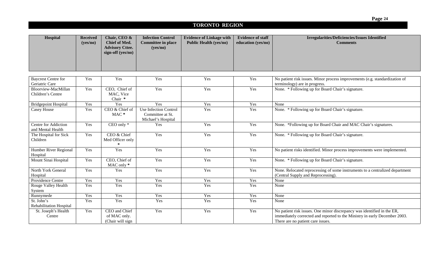# **TORONTO REGION**

| Hospital                                         | <b>Received</b><br>(yes/no) | Chair, CEO &<br>Chief of Med.                     | <b>Infection Control</b><br><b>Committee in place</b>                  | <b>Evidence of Linkage with</b><br><b>Public Health (yes/no)</b> | <b>Evidence of staff</b><br>education (yes/no) | <b>Irregularities/Deficiencies/Issues Identified</b><br><b>Comments</b>                                                                                                                    |
|--------------------------------------------------|-----------------------------|---------------------------------------------------|------------------------------------------------------------------------|------------------------------------------------------------------|------------------------------------------------|--------------------------------------------------------------------------------------------------------------------------------------------------------------------------------------------|
|                                                  |                             | <b>Advisory Cttee.</b><br>sign-off (yes/no)       | (yes/no)                                                               |                                                                  |                                                |                                                                                                                                                                                            |
|                                                  |                             |                                                   |                                                                        |                                                                  |                                                |                                                                                                                                                                                            |
| <b>Baycrest Centre for</b><br>Geriatric Care     | Yes                         | Yes                                               | Yes                                                                    | Yes                                                              | Yes                                            | No patient risk issues. Minor process improvements (e.g. standardization of<br>terminology) are in progress.                                                                               |
| Bloorview-MacMillan<br>Children's Centre         | Yes                         | CEO, Chief of<br>MAC, Vice<br>Chair *             | Yes                                                                    | Yes                                                              | Yes                                            | None. * Following up for Board Chair's signature.                                                                                                                                          |
| <b>Bridgepoint Hospital</b>                      | Yes                         | Yes                                               | Yes                                                                    | Yes                                                              | Yes                                            | None                                                                                                                                                                                       |
| Casey House                                      | Yes                         | CEO & Chief of<br>MAC*                            | <b>Use Infection Control</b><br>Committee at St.<br>Michael's Hospital | Yes                                                              | Yes                                            | None. * Following up for Board Chair's signature.                                                                                                                                          |
| <b>Centre for Addiction</b><br>and Mental Health | Yes                         | $\overline{CEO}$ only $*$                         | Yes                                                                    | Yes                                                              | Yes                                            | None. *Following up for Board Chair and MAC Chair's signatures.                                                                                                                            |
| The Hospital for Sick<br>Children                | Yes                         | CEO & Chief<br>Med Officer only                   | Yes                                                                    | Yes                                                              | Yes                                            | None. * Following up for Board Chair's signature.                                                                                                                                          |
| Humber River Regional<br>Hospital                | Yes                         | Yes                                               | Yes                                                                    | Yes                                                              | Yes                                            | No patient risks identified. Minor process improvements were implemented.                                                                                                                  |
| Mount Sinai Hospital                             | Yes                         | CEO, Chief of<br>MAC only *                       | Yes                                                                    | Yes                                                              | Yes                                            | None. * Following up for Board Chair's signature.                                                                                                                                          |
| North York General<br>Hospital                   | Yes                         | Yes                                               | Yes                                                                    | Yes                                                              | Yes                                            | None. Relocated reprocessing of some instruments to a centralized department<br>(Central Supply and Reprocessing).                                                                         |
| Providence Centre                                | Yes                         | Yes                                               | Yes                                                                    | Yes                                                              | Yes                                            | None                                                                                                                                                                                       |
| Rouge Valley Health<br>System                    | Yes                         | Yes                                               | Yes                                                                    | Yes                                                              | Yes                                            | None                                                                                                                                                                                       |
| Runnymede                                        | Yes                         | Yes                                               | Yes                                                                    | Yes                                                              | Yes                                            | None                                                                                                                                                                                       |
| St. John's<br>Rehabilitation Hospital            | Yes                         | Yes                                               | Yes                                                                    | Yes                                                              | Yes                                            | None                                                                                                                                                                                       |
| St. Joseph's Health<br>Centre                    | Yes                         | CEO and Chief<br>of MAC only.<br>(Chair will sign | Yes                                                                    | Yes                                                              | Yes                                            | No patient risk issues. One minor discrepancy was identified in the ER,<br>immediately corrected and reported to the Ministry in early December 2003.<br>There are no patient care issues. |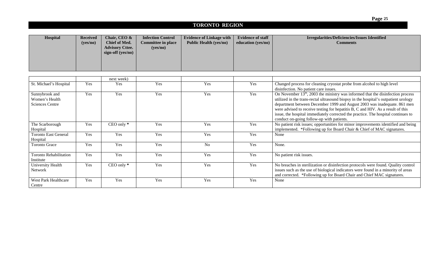# **TORONTO REGION**

| Hospital | <b>Received</b> | Chair, CEO &           | <b>Infection Control</b>  | <b>Evidence of Linkage with</b> | <b>Evidence of staff</b> | <b>Irregularities/Deficiencies/Issues Identified</b> |
|----------|-----------------|------------------------|---------------------------|---------------------------------|--------------------------|------------------------------------------------------|
|          | (yes/no)        | <b>Chief of Med.</b>   | <b>Committee in place</b> | <b>Public Health (yes/no)</b>   | education (yes/no)       | <b>Comments</b>                                      |
|          |                 | <b>Advisory Cttee.</b> | (ves/no)                  |                                 |                          |                                                      |
|          |                 | sign-off (yes/no)      |                           |                                 |                          |                                                      |
|          |                 |                        |                           |                                 |                          |                                                      |
|          |                 |                        |                           |                                 |                          |                                                      |
|          |                 |                        |                           |                                 |                          |                                                      |

|                                                            |     | next week)     |     |                |     |                                                                                                                                                                                                                                                                                                                                                                                                                                                                           |
|------------------------------------------------------------|-----|----------------|-----|----------------|-----|---------------------------------------------------------------------------------------------------------------------------------------------------------------------------------------------------------------------------------------------------------------------------------------------------------------------------------------------------------------------------------------------------------------------------------------------------------------------------|
| St. Michael's Hospital                                     | Yes | Yes            | Yes | Yes            | Yes | Changed process for cleaning cryostat probe from alcohol to high level<br>disinfection. No patient care issues.                                                                                                                                                                                                                                                                                                                                                           |
| Sunnybrook and<br>Women's Health<br><b>Sciences Centre</b> | Yes | Yes            | Yes | Yes            | Yes | On November $13th$ , 2003 the ministry was informed that the disinfection process<br>utilized in the trans-rectal ultrasound biopsy in the hospital's outpatient urology<br>department between December 1999 and August 2003 was inadequate. 861 men<br>were advised to receive testing for hepatitis B, C and HIV. As a result of this<br>issue, the hospital immediately corrected the practice. The hospital continues to<br>conduct on-going follow-up with patients. |
| The Scarborough<br>Hospital                                | Yes | $CEO$ only $*$ | Yes | Yes            | Yes | No patient risk issues; opportunities for minor improvements identified and being<br>implemented. *Following up for Board Chair & Chief of MAC signatures.                                                                                                                                                                                                                                                                                                                |
| <b>Toronto East General</b><br>Hospital                    | Yes | Yes            | Yes | Yes            | Yes | None                                                                                                                                                                                                                                                                                                                                                                                                                                                                      |
| <b>Toronto Grace</b>                                       | Yes | Yes            | Yes | N <sub>o</sub> | Yes | None.                                                                                                                                                                                                                                                                                                                                                                                                                                                                     |
| <b>Toronto Rehabilitation</b><br>Institute                 | Yes | Yes            | Yes | Yes            | Yes | No patient risk issues.                                                                                                                                                                                                                                                                                                                                                                                                                                                   |
| University Health<br>Network                               | Yes | $CEO$ only $*$ | Yes | Yes            | Yes | No breaches in sterilization or disinfection protocols were found. Quality control<br>issues such as the use of biological indicators were found in a minority of areas<br>and corrected. *Following up for Board Chair and Chief MAC signatures.                                                                                                                                                                                                                         |
| <b>West Park Healthcare</b><br>Centre                      | Yes | Yes            | Yes | Yes            | Yes | None                                                                                                                                                                                                                                                                                                                                                                                                                                                                      |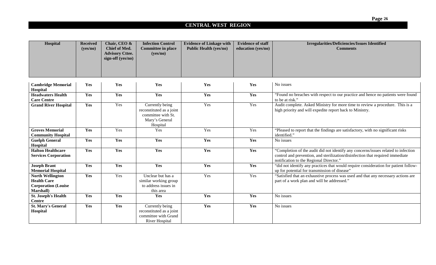# **CENTRAL WEST REGION**

| Hospital                                                                                         | <b>Received</b><br>(yes/no) | Chair, CEO &<br>Chief of Med.<br><b>Advisory Cttee.</b><br>sign-off (yes/no) | <b>Infection Control</b><br><b>Committee in place</b><br>(yes/no)                               | <b>Evidence of Linkage with</b><br><b>Public Health (yes/no)</b> | <b>Evidence of staff</b><br>education (yes/no) | <b>Irregularities/Deficiencies/Issues Identified</b><br><b>Comments</b>                                                                                                                                         |
|--------------------------------------------------------------------------------------------------|-----------------------------|------------------------------------------------------------------------------|-------------------------------------------------------------------------------------------------|------------------------------------------------------------------|------------------------------------------------|-----------------------------------------------------------------------------------------------------------------------------------------------------------------------------------------------------------------|
|                                                                                                  |                             |                                                                              |                                                                                                 |                                                                  |                                                |                                                                                                                                                                                                                 |
| <b>Cambridge Memorial</b><br>Hospital                                                            | Yes                         | Yes                                                                          | Yes                                                                                             | Yes                                                              | Yes                                            | No issues                                                                                                                                                                                                       |
| <b>Headwaters Health</b><br><b>Care Centre</b>                                                   | Yes                         | Yes                                                                          | Yes                                                                                             | Yes                                                              | Yes                                            | "Found no breaches with respect to our practice and hence no patients were found<br>to be at risk."                                                                                                             |
| <b>Grand River Hospital</b>                                                                      | Yes                         | Yes                                                                          | Currently being<br>reconstituted as a joint<br>committee with St.<br>Mary's General<br>Hospital | Yes                                                              | Yes                                            | Audit complete. Asked Ministry for more time to review a procedure. This is a<br>high priority and will expedite report back to Ministry.                                                                       |
| <b>Groves Memorial</b><br><b>Community Hospital</b>                                              | Yes                         | Yes                                                                          | Yes                                                                                             | Yes                                                              | Yes                                            | "Pleased to report that the findings are satisfactory, with no significant risks<br>identified."                                                                                                                |
| <b>Guelph General</b><br>Hospital                                                                | Yes                         | Yes                                                                          | Yes                                                                                             | Yes                                                              | Yes                                            | No issues                                                                                                                                                                                                       |
| <b>Halton Healthcare</b><br><b>Services Corporation</b>                                          | Yes                         | Yes                                                                          | Yes                                                                                             | Yes                                                              | Yes                                            | "Completion of the audit did not identify any concerns/issues related to infection<br>control and prevention, and sterilization/disinfection that required immediate<br>notification to the Regional Director." |
| <b>Joseph Brant</b><br><b>Memorial Hospital</b>                                                  | Yes                         | Yes                                                                          | Yes                                                                                             | Yes                                                              | Yes                                            | "did not identify any practices that would require consideration for patient follow-<br>up for potential for transmission of disease"                                                                           |
| <b>North Wellington</b><br><b>Health Care</b><br><b>Corporation</b> (Louise<br><b>Marshall</b> ) | Yes                         | Yes                                                                          | Unclear but has a<br>similar working group<br>to address issues in<br>this area                 | Yes                                                              | Yes                                            | "Satisfied that an exhaustive process was used and that any necessary actions are<br>part of a work plan and will be addressed."                                                                                |
| <b>St. Joseph's Health</b><br><b>Centre</b>                                                      | Yes                         | Yes                                                                          | Yes                                                                                             | Yes                                                              | Yes                                            | No issues                                                                                                                                                                                                       |
| <b>St. Mary's General</b><br>Hospital                                                            | Yes                         | Yes                                                                          | Currently being<br>reconstituted as a joint<br>committee with Grand<br>River Hospital           | Yes                                                              | Yes                                            | No issues                                                                                                                                                                                                       |